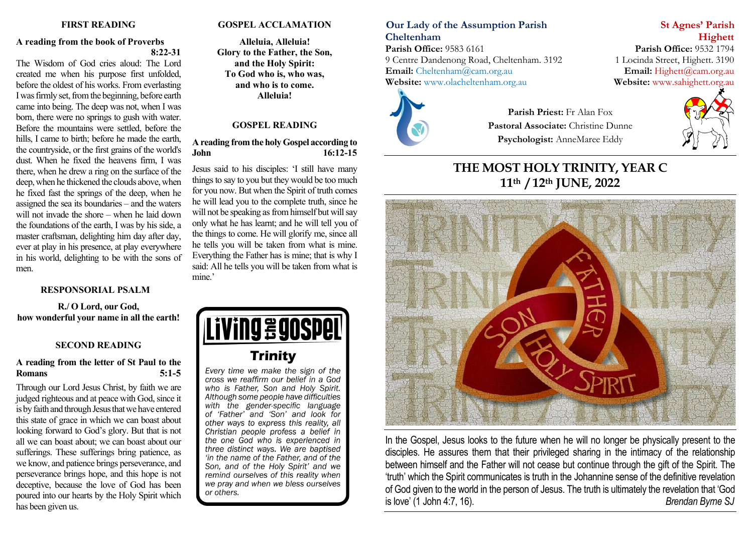### **FIRST READING**

### **A reading from the book of Proverbs 8:22-31**

The Wisdom of God cries aloud: The Lord created me when his purpose first unfolded, before the oldest of his works. From everlasting I was firmly set, from the beginning, before earth came into being. The deep was not, when I was born, there were no springs to gush with water. Before the mountains were settled, before the hills, I came to birth; before he made the earth, the countryside, or the first grains of the world's dust. When he fixed the heavens firm, I was there, when he drew a ring on the surface of the deep, when he thickened the clouds above, when he fixed fast the springs of the deep, when he assigned the sea its boundaries – and the waters will not invade the shore – when he laid down the foundations of the earth, I was by his side, a master craftsman, delighting him day after day, ever at play in his presence, at play everywhere in his world, delighting to be with the sons of men.

### **RESPONSORIAL PSALM**

**R./ O Lord, our God, how wonderful your name in all the earth!**

### **SECOND READING**

### **A reading from the letter of St Paul to the Romans 5:1-5**

Through our Lord Jesus Christ, by faith we are judged righteous and at peace with God, since it is by faith and through Jesus that we have entered this state of grace in which we can boast about looking forward to God's glory. But that is not all we can boast about; we can boast about our sufferings. These sufferings bring patience, as we know, and patience brings perseverance, and perseverance brings hope, and this hope is not deceptive, because the love of God has been poured into our hearts by the Holy Spirit which has been given us.

### **GOSPEL ACCLAMATION**

**Alleluia, Alleluia! Glory to the Father, the Son, and the Holy Spirit: To God who is, who was, and who is to come. Alleluia!**

### **GOSPEL READING**

### **A reading from the holy Gospel according to John 16:12-15**

Jesus said to his disciples: 'I still have many things to say to you but they would be too much for you now. But when the Spirit of truth comes he will lead you to the complete truth, since he will not be speaking as from himself but will say only what he has learnt; and he will tell you of the things to come. He will glorify me, since all he tells you will be taken from what is mine. Everything the Father has is mine; that is why I said: All he tells you will be taken from what is mine.'



Every time we make the sign of the cross we reaffirm our belief in a God who is Father. Son and Holy Spirit. Although some people have difficulties with the gender-specific language of 'Father' and 'Son' and look for other ways to express this reality, all Christian people profess a belief in the one God who is experienced in three distinct ways. We are baptised 'in the name of the Father, and of the Son, and of the Holy Spirit' and we remind ourselves of this reality when we pray and when we bless ourselves or others.

# **Our Lady of the Assumption Parish St Agnes' Parish Cheltenham Highett**

**Parish Office:** 9583 6161 **Parish Office:** 9532 1794 9 Centre Dandenong Road, Cheltenham. 3192 1 Locinda Street, Highett. 3190 **Email:** [Cheltenham@cam.org.au](mailto:Cheltenham@cam.org.au) **Email:** [Highett@cam.org.au](mailto:Highett@cam.org.au) **Website:** www.olacheltenham.org.au **Website:** www.sahighett.org.au Website: [www.olacheltenham.org.au](http://www.olacheltenham.org.au/)



**Parish Priest:** Fr Alan Fox **Pastoral Associate:** Christine Dunne **Psychologist:** AnneMaree Eddy



**THE MOST HOLY TRINITY, YEAR C 11th / 12th JUNE, 2022**



In the Gospel, Jesus looks to the future when he will no longer be physically present to the disciples. He assures them that their privileged sharing in the intimacy of the relationship between himself and the Father will not cease but continue through the gift of the Spirit. The 'truth' which the Spirit communicates is truth in the Johannine sense of the definitive revelation of God given to the world in the person of Jesus. The truth is ultimately the revelation that 'God is love' (1 John 4:7, 16). *Brendan Byrne SJ*